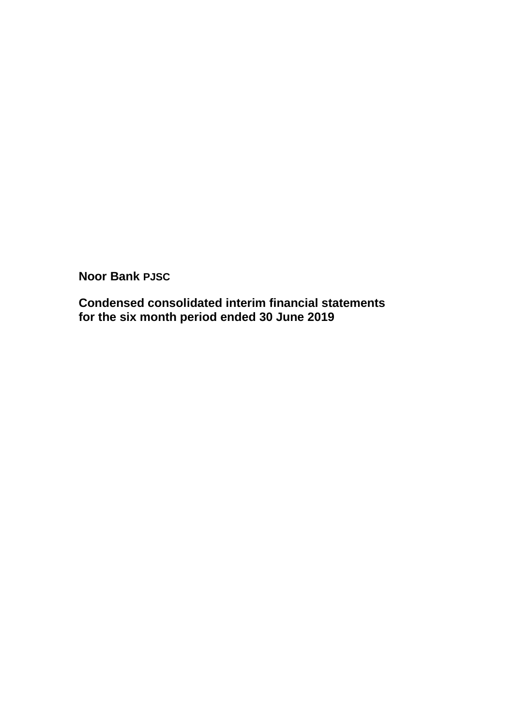**Condensed consolidated interim financial statements for the six month period ended 30 June 2019**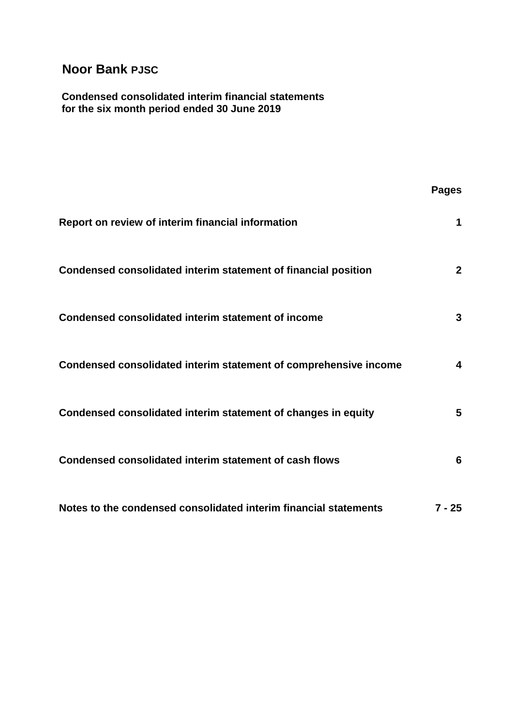#### **Condensed consolidated interim financial statements for the six month period ended 30 June 2019**

|                                                                  | <b>Pages</b>   |
|------------------------------------------------------------------|----------------|
| Report on review of interim financial information                | 1              |
| Condensed consolidated interim statement of financial position   | $\mathbf{2}$   |
| Condensed consolidated interim statement of income               | 3              |
| Condensed consolidated interim statement of comprehensive income | 4              |
| Condensed consolidated interim statement of changes in equity    | $5\phantom{1}$ |
| Condensed consolidated interim statement of cash flows           | 6              |
| Notes to the condensed consolidated interim financial statements | $7 - 25$       |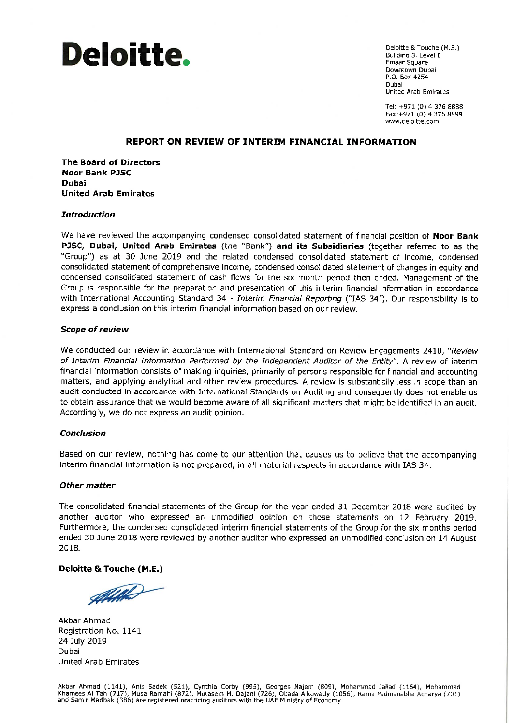

Deloitte & Touche (M.E.) Building 3, Level 6 Emaar Square Downtown Dubai P.O. Box 4254 Dubai **United Arab Emirates** 

Tel: +971 (0) 4 376 8888 Fax: +971 (0) 4 376 8899 www.deloitte.com

#### REPORT ON REVIEW OF INTERIM FINANCIAL INFORMATION

**The Board of Directors Noor Bank PJSC Dubai United Arab Emirates** 

#### **Introduction**

We have reviewed the accompanying condensed consolidated statement of financial position of Noor Bank PJSC, Dubai, United Arab Emirates (the "Bank") and its Subsidiaries (together referred to as the "Group") as at 30 June 2019 and the related condensed consolidated statement of income, condensed consolidated statement of comprehensive income, condensed consolidated statement of changes in equity and condensed consolidated statement of cash flows for the six month period then ended. Management of the Group is responsible for the preparation and presentation of this interim financial information in accordance with International Accounting Standard 34 - Interim Financial Reporting ("IAS 34"). Our responsibility is to express a conclusion on this interim financial information based on our review.

#### **Scope of review**

We conducted our review in accordance with International Standard on Review Engagements 2410, "Review of Interim Financial Information Performed by the Independent Auditor of the Entity". A review of interim financial information consists of making inquiries, primarily of persons responsible for financial and accounting matters, and applying analytical and other review procedures. A review is substantially less in scope than an audit conducted in accordance with International Standards on Auditing and consequently does not enable us to obtain assurance that we would become aware of all significant matters that might be identified in an audit. Accordingly, we do not express an audit opinion.

#### **Conclusion**

Based on our review, nothing has come to our attention that causes us to believe that the accompanying interim financial information is not prepared, in all material respects in accordance with IAS 34.

#### **Other matter**

The consolidated financial statements of the Group for the year ended 31 December 2018 were audited by another auditor who expressed an unmodified opinion on those statements on 12 February 2019. Furthermore, the condensed consolidated interim financial statements of the Group for the six months period ended 30 June 2018 were reviewed by another auditor who expressed an unmodified conclusion on 14 August 2018.

#### **Deloitte & Touche (M.E.)**

AHALS

Akbar Ahmad Registration No. 1141 24 July 2019 Dubai **United Arab Emirates** 

Akbar Ahmad (1141), Anis Sadek (521), Cynthia Corby (995), Georges Najem (809), Mohammad Jallad (1164), Mohammad<br>Khamees Al Tah (717), Musa Ramahi (872), Mutasem M. Dajani (726), Obada Alkowatiy (1056), Rama Padmanabha Ach and Samir Madbak (386) are registered practicing auditors with the UAE Ministry of Economy.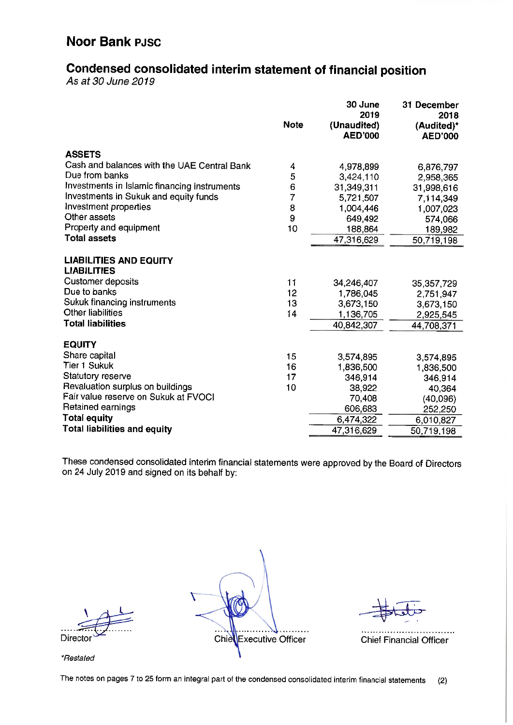# Condensed consolidated interim statement of financial position

As at 30 June 2019

|                                                     | <b>Note</b> | 30 June<br>2019<br>(Unaudited)<br><b>AED'000</b> | 31 December<br>2018<br>(Audited)*<br><b>AED'000</b> |
|-----------------------------------------------------|-------------|--------------------------------------------------|-----------------------------------------------------|
| <b>ASSETS</b>                                       |             |                                                  |                                                     |
| Cash and balances with the UAE Central Bank         | 4           | 4,978,899                                        | 6,876,797                                           |
| Due from banks                                      | 5           | 3,424,110                                        | 2,958,365                                           |
| Investments in Islamic financing instruments        | 6           | 31,349,311                                       | 31,998,616                                          |
| Investments in Sukuk and equity funds               | 7           | 5,721,507                                        | 7 114,349                                           |
| Investment properties                               | 8           | 1,004,446                                        | 1,007,023                                           |
| Other assets                                        | 9           | 649,492                                          | 574,066                                             |
| Property and equipment                              | 10          | 188,864                                          | 189,982                                             |
| <b>Total assets</b>                                 |             | 47,316,629                                       | 50,719,198                                          |
| <b>LIABILITIES AND EQUITY</b><br><b>LIABILITIES</b> |             |                                                  |                                                     |
| <b>Customer deposits</b>                            | 11          | 34,246,407                                       | 35, 357, 729                                        |
| Due to banks                                        | 12          | 1,786,045                                        | 2,751,947                                           |
| Sukuk financing instruments                         | 13          | 3,673,150                                        | 3,673,150                                           |
| Other liabilities                                   | 14          | 1.136,705                                        | 2,925,545                                           |
| <b>Total liabilities</b>                            |             | 40,842,307                                       | 44,708,371                                          |
| <b>EQUITY</b>                                       |             |                                                  |                                                     |
| Share capital                                       | 15          | 3,574,895                                        | 3,574,895                                           |
| Tier 1 Sukuk                                        | 16          | 1,836,500                                        | 1,836,500                                           |
| Statutory reserve                                   | 17          | 346,914                                          | 346,914                                             |
| Revaluation surplus on buildings                    | 10          | 38,922                                           | 40,364                                              |
| Fair value reserve on Sukuk at FVOCI                |             | 70,408                                           | (40,096)                                            |
| Retained earnings                                   |             | 606,683                                          | 252,250                                             |
| <b>Total equity</b>                                 |             | 6,474,322                                        | 6,010,827                                           |
| <b>Total liabilities and equity</b>                 |             | 47,316,629                                       | 50,719,198                                          |

These condensed consolidated interim financial statements were approved by the Board of Directors on 24 July 2019 and signed on its behalf by:

Director

. . . . . . . . . Chie Executive Officer

**Chief Financial Officer** 

\*Restated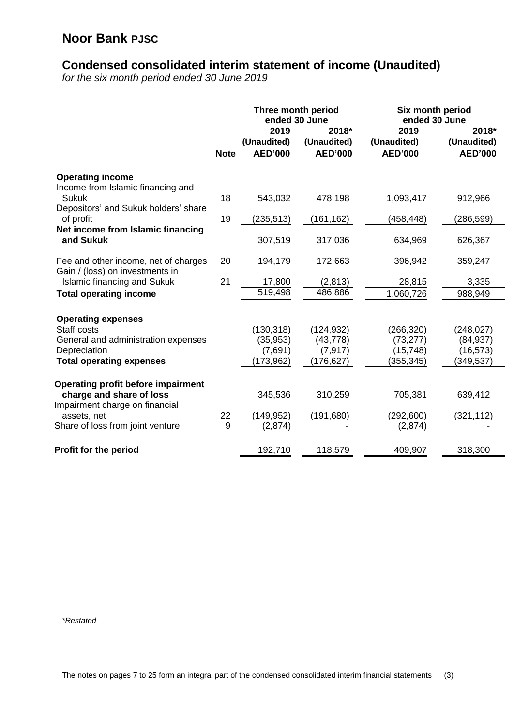# **Condensed consolidated interim statement of income (Unaudited)**

*for the six month period ended 30 June 2019*

|                                                                         |             | Three month period<br>ended 30 June   |                                        |                                       |                                        |  | Six month period<br>ended 30 June |
|-------------------------------------------------------------------------|-------------|---------------------------------------|----------------------------------------|---------------------------------------|----------------------------------------|--|-----------------------------------|
|                                                                         | <b>Note</b> | 2019<br>(Unaudited)<br><b>AED'000</b> | 2018*<br>(Unaudited)<br><b>AED'000</b> | 2019<br>(Unaudited)<br><b>AED'000</b> | 2018*<br>(Unaudited)<br><b>AED'000</b> |  |                                   |
| <b>Operating income</b><br>Income from Islamic financing and            |             |                                       |                                        |                                       |                                        |  |                                   |
| <b>Sukuk</b><br>Depositors' and Sukuk holders' share                    | 18          | 543,032                               | 478,198                                | 1,093,417                             | 912,966                                |  |                                   |
| of profit<br>Net income from Islamic financing                          | 19          | (235, 513)                            | (161, 162)                             | (458, 448)                            | (286, 599)                             |  |                                   |
| and Sukuk                                                               |             | 307,519                               | 317,036                                | 634,969                               | 626,367                                |  |                                   |
| Fee and other income, net of charges<br>Gain / (loss) on investments in | 20          | 194,179                               | 172,663                                | 396,942                               | 359,247                                |  |                                   |
| <b>Islamic financing and Sukuk</b>                                      | 21          | 17,800<br>519,498                     | (2, 813)<br>486,886                    | 28,815                                | 3,335                                  |  |                                   |
| <b>Total operating income</b>                                           |             |                                       |                                        | 1,060,726                             | 988,949                                |  |                                   |
| <b>Operating expenses</b><br>Staff costs                                |             |                                       |                                        |                                       |                                        |  |                                   |
| General and administration expenses                                     |             | (130, 318)<br>(35, 953)               | (124, 932)<br>(43, 778)                | (266, 320)<br>(73, 277)               | (248, 027)<br>(84, 937)                |  |                                   |
| Depreciation                                                            |             | (7,691)                               | (7, 917)                               | (15, 748)                             | (16, 573)                              |  |                                   |
| <b>Total operating expenses</b>                                         |             | (173, 962)                            | (176, 627)                             | (355, 345)                            | (349, 537)                             |  |                                   |
| <b>Operating profit before impairment</b>                               |             |                                       |                                        |                                       |                                        |  |                                   |
| charge and share of loss<br>Impairment charge on financial              |             | 345,536                               | 310,259                                | 705,381                               | 639,412                                |  |                                   |
| assets, net                                                             | 22          | (149, 952)                            | (191, 680)                             | (292, 600)                            | (321, 112)                             |  |                                   |
| Share of loss from joint venture                                        | 9           | (2,874)                               |                                        | (2,874)                               |                                        |  |                                   |
| Profit for the period                                                   |             | 192,710                               | 118,579                                | 409,907                               | 318,300                                |  |                                   |

*\*Restated*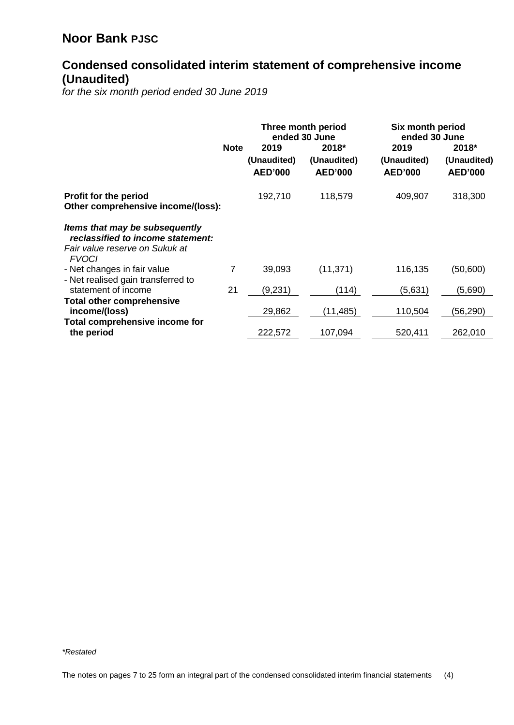## **Condensed consolidated interim statement of comprehensive income (Unaudited)**

*for the six month period ended 30 June 2019*

|                                                                     | Three month period<br>ended 30 June |                               |                               |                               | Six month period<br>ended 30 June |  |
|---------------------------------------------------------------------|-------------------------------------|-------------------------------|-------------------------------|-------------------------------|-----------------------------------|--|
|                                                                     | <b>Note</b>                         | 2019                          | 2018*                         | 2019                          | 2018*                             |  |
|                                                                     |                                     | (Unaudited)<br><b>AED'000</b> | (Unaudited)<br><b>AED'000</b> | (Unaudited)<br><b>AED'000</b> | (Unaudited)<br><b>AED'000</b>     |  |
| <b>Profit for the period</b><br>Other comprehensive income/(loss):  |                                     | 192,710                       | 118,579                       | 409,907                       | 318,300                           |  |
| Items that may be subsequently<br>reclassified to income statement: |                                     |                               |                               |                               |                                   |  |
| Fair value reserve on Sukuk at<br><b>FVOCI</b>                      |                                     |                               |                               |                               |                                   |  |
| - Net changes in fair value                                         | 7                                   | 39,093                        | (11, 371)                     | 116,135                       | (50,600)                          |  |
| - Net realised gain transferred to<br>statement of income           | 21                                  | (9,231)                       | (114)                         | (5,631)                       | (5,690)                           |  |
| <b>Total other comprehensive</b><br>income/(loss)                   |                                     | 29,862                        | (11,485)                      | 110,504                       | (56,290)                          |  |
| Total comprehensive income for<br>the period                        |                                     | 222,572                       | 107,094                       | 520,411                       | 262,010                           |  |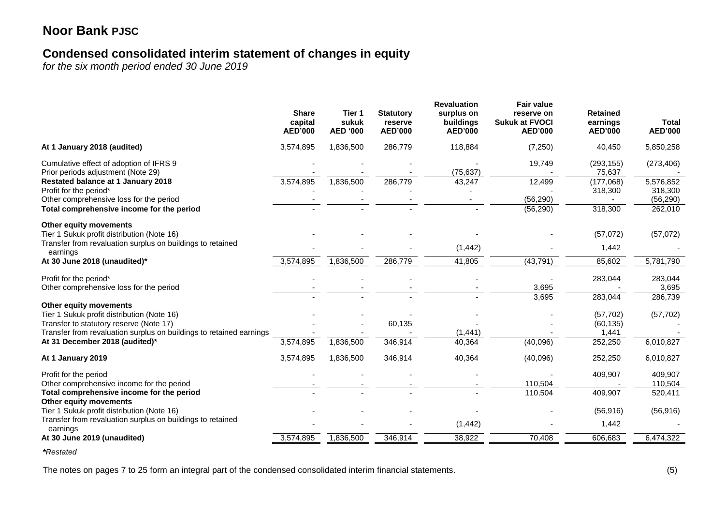## **Condensed consolidated interim statement of changes in equity**

*for the six month period ended 30 June 2019*

|                                                                                                                                                              | <b>Share</b><br>capital<br><b>AED'000</b> | Tier 1<br>sukuk<br><b>AED '000</b> | <b>Statutory</b><br>reserve<br><b>AED'000</b> | <b>Revaluation</b><br>surplus on<br>buildings<br><b>AED'000</b> | <b>Fair value</b><br>reserve on<br><b>Sukuk at FVOCI</b><br><b>AED'000</b> | <b>Retained</b><br>earnings<br><b>AED'000</b> | <b>Total</b><br><b>AED'000</b>    |
|--------------------------------------------------------------------------------------------------------------------------------------------------------------|-------------------------------------------|------------------------------------|-----------------------------------------------|-----------------------------------------------------------------|----------------------------------------------------------------------------|-----------------------------------------------|-----------------------------------|
| At 1 January 2018 (audited)                                                                                                                                  | 3,574,895                                 | 1,836,500                          | 286,779                                       | 118,884                                                         | (7, 250)                                                                   | 40,450                                        | 5,850,258                         |
| Cumulative effect of adoption of IFRS 9<br>Prior periods adjustment (Note 29)                                                                                |                                           |                                    |                                               | (75, 637)                                                       | 19,749                                                                     | (293, 155)<br>75,637                          | (273, 406)                        |
| Restated balance at 1 January 2018<br>Profit for the period*<br>Other comprehensive loss for the period                                                      | 3,574,895                                 | 1,836,500                          | 286,779                                       | 43,247                                                          | 12,499<br>(56, 290)                                                        | (177,068)<br>318,300                          | 5,576,852<br>318,300<br>(56, 290) |
| Total comprehensive income for the period                                                                                                                    |                                           |                                    |                                               |                                                                 | (56, 290)                                                                  | 318,300                                       | 262,010                           |
| Other equity movements<br>Tier 1 Sukuk profit distribution (Note 16)                                                                                         |                                           |                                    |                                               |                                                                 |                                                                            | (57,072)                                      | (57,072)                          |
| Transfer from revaluation surplus on buildings to retained<br>earnings                                                                                       |                                           |                                    |                                               | (1, 442)                                                        |                                                                            | 1,442                                         |                                   |
| At 30 June 2018 (unaudited)*                                                                                                                                 | 3,574,895                                 | 1,836,500                          | 286,779                                       | 41,805                                                          | (43, 791)                                                                  | 85,602                                        | 5,781,790                         |
| Profit for the period*<br>Other comprehensive loss for the period                                                                                            |                                           |                                    |                                               |                                                                 | 3,695                                                                      | 283,044                                       | 283,044<br>3,695                  |
| Other equity movements                                                                                                                                       |                                           |                                    |                                               |                                                                 | 3,695                                                                      | 283,044                                       | 286,739                           |
| Tier 1 Sukuk profit distribution (Note 16)<br>Transfer to statutory reserve (Note 17)<br>Transfer from revaluation surplus on buildings to retained earnings |                                           |                                    | 60,135                                        | (1, 441)                                                        |                                                                            | (57, 702)<br>(60, 135)<br>1,441               | (57, 702)                         |
| At 31 December 2018 (audited)*                                                                                                                               | 3,574,895                                 | 1,836,500                          | 346,914                                       | 40,364                                                          | (40,096)                                                                   | 252,250                                       | 6,010,827                         |
| At 1 January 2019                                                                                                                                            | 3,574,895                                 | 1,836,500                          | 346,914                                       | 40,364                                                          | (40,096)                                                                   | 252,250                                       | 6,010,827                         |
| Profit for the period<br>Other comprehensive income for the period                                                                                           |                                           |                                    |                                               |                                                                 | 110,504                                                                    | 409,907                                       | 409,907<br>110,504                |
| Total comprehensive income for the period<br>Other equity movements                                                                                          |                                           |                                    |                                               |                                                                 | 110,504                                                                    | 409,907                                       | 520,411                           |
| Tier 1 Sukuk profit distribution (Note 16)                                                                                                                   |                                           |                                    |                                               |                                                                 |                                                                            | (56, 916)                                     | (56, 916)                         |
| Transfer from revaluation surplus on buildings to retained<br>earnings                                                                                       |                                           |                                    |                                               | (1, 442)                                                        |                                                                            | 1,442                                         |                                   |
| At 30 June 2019 (unaudited)                                                                                                                                  | 3,574,895                                 | 1,836,500                          | 346,914                                       | 38,922                                                          | 70,408                                                                     | 606,683                                       | 6,474,322                         |

*\*Restated*

The notes on pages 7 to 25 form an integral part of the condensed consolidated interim financial statements. (5)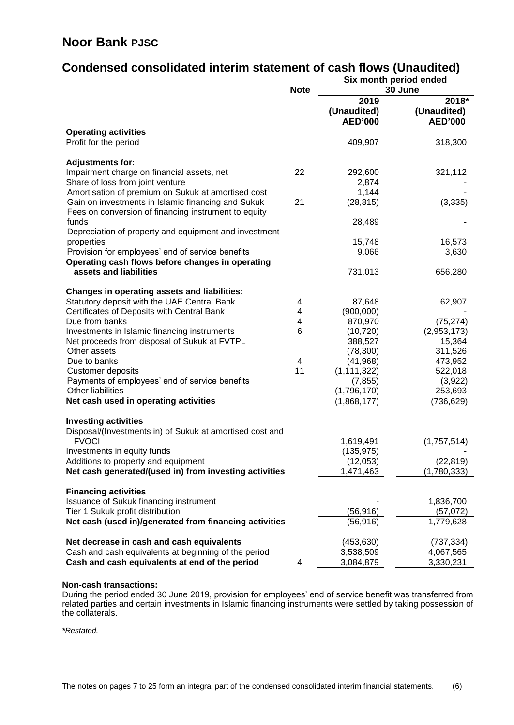# **Condensed consolidated interim statement of cash flows (Unaudited)**

|                                                                            |             | Six month period ended<br>30 June |                       |  |
|----------------------------------------------------------------------------|-------------|-----------------------------------|-----------------------|--|
|                                                                            | <b>Note</b> | 2019                              | 2018*                 |  |
|                                                                            |             | (Unaudited)                       | (Unaudited)           |  |
|                                                                            |             | <b>AED'000</b>                    | <b>AED'000</b>        |  |
| <b>Operating activities</b>                                                |             |                                   |                       |  |
| Profit for the period                                                      |             | 409,907                           | 318,300               |  |
|                                                                            |             |                                   |                       |  |
| <b>Adjustments for:</b>                                                    |             |                                   |                       |  |
| Impairment charge on financial assets, net                                 | 22          | 292,600                           | 321,112               |  |
| Share of loss from joint venture                                           |             | 2,874                             |                       |  |
| Amortisation of premium on Sukuk at amortised cost                         |             | 1,144                             |                       |  |
| Gain on investments in Islamic financing and Sukuk                         | 21          | (28, 815)                         | (3, 335)              |  |
| Fees on conversion of financing instrument to equity                       |             |                                   |                       |  |
| funds                                                                      |             | 28,489                            |                       |  |
| Depreciation of property and equipment and investment<br>properties        |             | 15,748                            | 16,573                |  |
| Provision for employees' end of service benefits                           |             | 9.066                             | 3,630                 |  |
| Operating cash flows before changes in operating                           |             |                                   |                       |  |
| assets and liabilities                                                     |             | 731,013                           | 656,280               |  |
|                                                                            |             |                                   |                       |  |
| <b>Changes in operating assets and liabilities:</b>                        |             |                                   |                       |  |
| Statutory deposit with the UAE Central Bank                                | 4           | 87,648                            | 62,907                |  |
| Certificates of Deposits with Central Bank                                 | 4           | (900,000)                         |                       |  |
| Due from banks                                                             | 4           | 870,970                           | (75, 274)             |  |
| Investments in Islamic financing instruments                               | 6           | (10, 720)                         | (2,953,173)           |  |
| Net proceeds from disposal of Sukuk at FVTPL                               |             | 388,527                           | 15,364                |  |
| Other assets                                                               |             | (78, 300)                         | 311,526               |  |
| Due to banks                                                               | 4           | (41, 968)                         | 473,952               |  |
| <b>Customer deposits</b>                                                   | 11          | (1, 111, 322)                     | 522,018               |  |
| Payments of employees' end of service benefits<br><b>Other liabilities</b> |             | (7, 855)                          | (3,922)               |  |
|                                                                            |             | (1,796,170)<br>(1,868,177)        | 253,693<br>(736, 629) |  |
| Net cash used in operating activities                                      |             |                                   |                       |  |
| <b>Investing activities</b>                                                |             |                                   |                       |  |
| Disposal/(Investments in) of Sukuk at amortised cost and                   |             |                                   |                       |  |
| <b>FVOCI</b>                                                               |             | 1,619,491                         | (1,757,514)           |  |
| Investments in equity funds                                                |             | (135, 975)                        |                       |  |
| Additions to property and equipment                                        |             | (12,053)                          | (22, 819)             |  |
| Net cash generated/(used in) from investing activities                     |             | 1,471,463                         | (1,780,333)           |  |
|                                                                            |             |                                   |                       |  |
| <b>Financing activities</b>                                                |             |                                   |                       |  |
| Issuance of Sukuk financing instrument<br>Tier 1 Sukuk profit distribution |             | (56, 916)                         | 1,836,700             |  |
| Net cash (used in)/generated from financing activities                     |             | (56, 916)                         | (57,072)<br>1,779,628 |  |
|                                                                            |             |                                   |                       |  |
| Net decrease in cash and cash equivalents                                  |             | (453, 630)                        | (737, 334)            |  |
| Cash and cash equivalents at beginning of the period                       |             | 3,538,509                         | 4,067,565             |  |
| Cash and cash equivalents at end of the period                             | 4           | 3,084,879                         | 3,330,231             |  |
|                                                                            |             |                                   |                       |  |

#### **Non-cash transactions:**

During the period ended 30 June 2019, provision for employees' end of service benefit was transferred from related parties and certain investments in Islamic financing instruments were settled by taking possession of the collaterals.

*\*Restated.*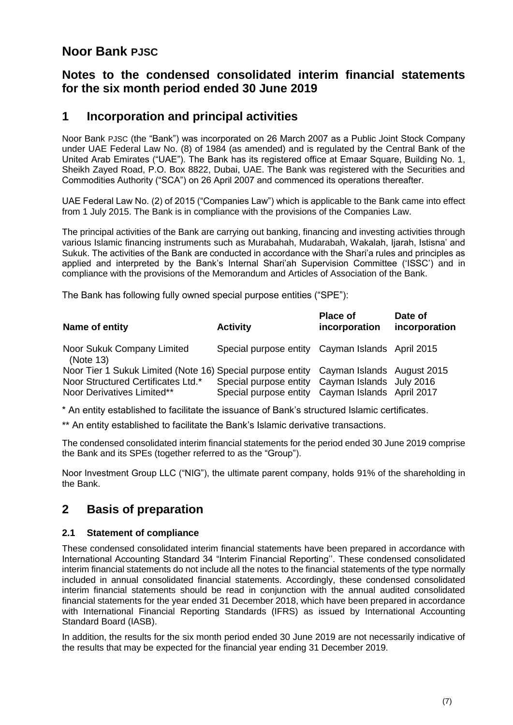### **Notes to the condensed consolidated interim financial statements for the six month period ended 30 June 2019**

#### **1 Incorporation and principal activities**

Noor Bank PJSC (the "Bank") was incorporated on 26 March 2007 as a Public Joint Stock Company under UAE Federal Law No. (8) of 1984 (as amended) and is regulated by the Central Bank of the United Arab Emirates ("UAE"). The Bank has its registered office at Emaar Square, Building No. 1, Sheikh Zayed Road, P.O. Box 8822, Dubai, UAE. The Bank was registered with the Securities and Commodities Authority ("SCA") on 26 April 2007 and commenced its operations thereafter.

UAE Federal Law No. (2) of 2015 ("Companies Law") which is applicable to the Bank came into effect from 1 July 2015. The Bank is in compliance with the provisions of the Companies Law.

The principal activities of the Bank are carrying out banking, financing and investing activities through various Islamic financing instruments such as Murabahah, Mudarabah, Wakalah, Ijarah, Istisna' and Sukuk. The activities of the Bank are conducted in accordance with the Shari'a rules and principles as applied and interpreted by the Bank's Internal Shari'ah Supervision Committee ('ISSC') and in compliance with the provisions of the Memorandum and Articles of Association of the Bank.

The Bank has following fully owned special purpose entities ("SPE"):

| Name of entity                                                                        | <b>Activity</b>                                  | <b>Place of</b><br>incorporation | Date of<br>incorporation |
|---------------------------------------------------------------------------------------|--------------------------------------------------|----------------------------------|--------------------------|
| Noor Sukuk Company Limited<br>(Note 13)                                               | Special purpose entity Cayman Islands April 2015 |                                  |                          |
| Noor Tier 1 Sukuk Limited (Note 16) Special purpose entity Cayman Islands August 2015 |                                                  |                                  |                          |
| Noor Structured Certificates Ltd.*                                                    | Special purpose entity                           | Cayman Islands July 2016         |                          |
| Noor Derivatives Limited**                                                            | Special purpose entity                           | Cayman Islands April 2017        |                          |

\* An entity established to facilitate the issuance of Bank's structured Islamic certificates.

\*\* An entity established to facilitate the Bank's Islamic derivative transactions.

The condensed consolidated interim financial statements for the period ended 30 June 2019 comprise the Bank and its SPEs (together referred to as the "Group").

Noor Investment Group LLC ("NIG"), the ultimate parent company, holds 91% of the shareholding in the Bank.

## **2 Basis of preparation**

#### **2.1 Statement of compliance**

These condensed consolidated interim financial statements have been prepared in accordance with International Accounting Standard 34 "Interim Financial Reporting''. These condensed consolidated interim financial statements do not include all the notes to the financial statements of the type normally included in annual consolidated financial statements. Accordingly, these condensed consolidated interim financial statements should be read in conjunction with the annual audited consolidated financial statements for the year ended 31 December 2018, which have been prepared in accordance with International Financial Reporting Standards (IFRS) as issued by International Accounting Standard Board (IASB).

In addition, the results for the six month period ended 30 June 2019 are not necessarily indicative of the results that may be expected for the financial year ending 31 December 2019.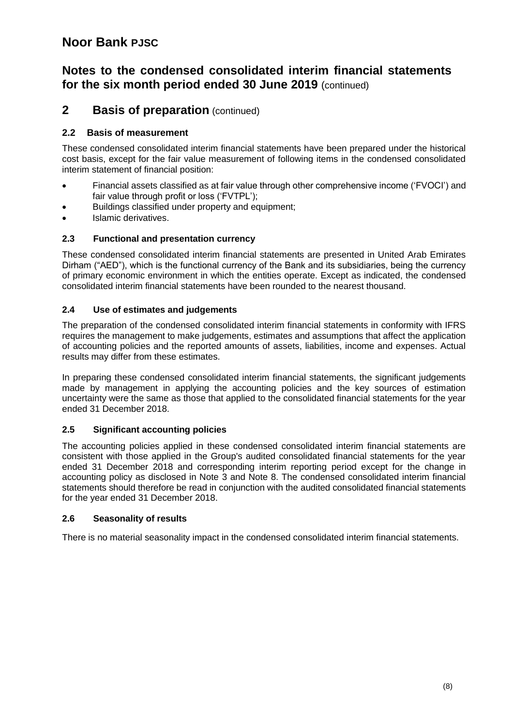#### **Notes to the condensed consolidated interim financial statements for the six month period ended 30 June 2019** (continued)

#### **2 Basis of preparation** (continued)

#### **2.2 Basis of measurement**

These condensed consolidated interim financial statements have been prepared under the historical cost basis, except for the fair value measurement of following items in the condensed consolidated interim statement of financial position:

- Financial assets classified as at fair value through other comprehensive income ('FVOCI') and fair value through profit or loss ('FVTPL');
- Buildings classified under property and equipment;
- Islamic derivatives.

#### **2.3 Functional and presentation currency**

These condensed consolidated interim financial statements are presented in United Arab Emirates Dirham ("AED"), which is the functional currency of the Bank and its subsidiaries, being the currency of primary economic environment in which the entities operate. Except as indicated, the condensed consolidated interim financial statements have been rounded to the nearest thousand.

#### **2.4 Use of estimates and judgements**

The preparation of the condensed consolidated interim financial statements in conformity with IFRS requires the management to make judgements, estimates and assumptions that affect the application of accounting policies and the reported amounts of assets, liabilities, income and expenses. Actual results may differ from these estimates.

In preparing these condensed consolidated interim financial statements, the significant judgements made by management in applying the accounting policies and the key sources of estimation uncertainty were the same as those that applied to the consolidated financial statements for the year ended 31 December 2018.

#### **2.5 Significant accounting policies**

The accounting policies applied in these condensed consolidated interim financial statements are consistent with those applied in the Group's audited consolidated financial statements for the year ended 31 December 2018 and corresponding interim reporting period except for the change in accounting policy as disclosed in Note 3 and Note 8. The condensed consolidated interim financial statements should therefore be read in conjunction with the audited consolidated financial statements for the year ended 31 December 2018.

#### **2.6 Seasonality of results**

There is no material seasonality impact in the condensed consolidated interim financial statements.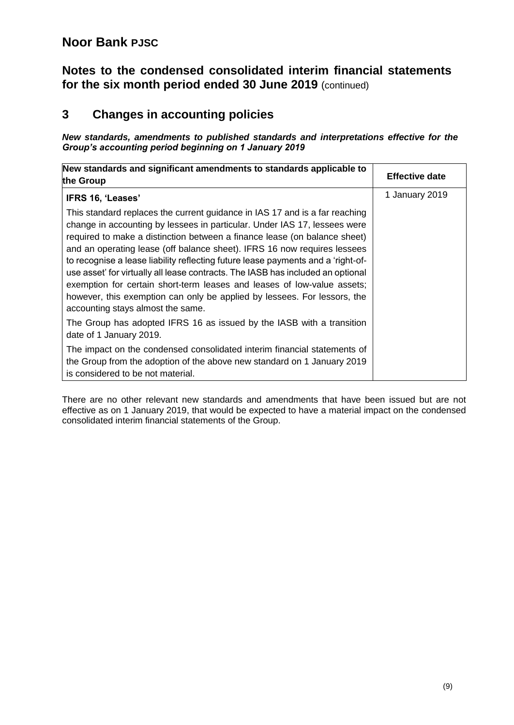#### **Notes to the condensed consolidated interim financial statements for the six month period ended 30 June 2019** (continued)

## **3 Changes in accounting policies**

*New standards, amendments to published standards and interpretations effective for the Group's accounting period beginning on 1 January 2019*

| New standards and significant amendments to standards applicable to<br>the Group                                                                                                                                                                                                                                                                                                                                                                                                                                                                                                                                                                                                     | <b>Effective date</b> |
|--------------------------------------------------------------------------------------------------------------------------------------------------------------------------------------------------------------------------------------------------------------------------------------------------------------------------------------------------------------------------------------------------------------------------------------------------------------------------------------------------------------------------------------------------------------------------------------------------------------------------------------------------------------------------------------|-----------------------|
| IFRS 16, 'Leases'                                                                                                                                                                                                                                                                                                                                                                                                                                                                                                                                                                                                                                                                    | 1 January 2019        |
| This standard replaces the current guidance in IAS 17 and is a far reaching<br>change in accounting by lessees in particular. Under IAS 17, lessees were<br>required to make a distinction between a finance lease (on balance sheet)<br>and an operating lease (off balance sheet). IFRS 16 now requires lessees<br>to recognise a lease liability reflecting future lease payments and a 'right-of-<br>use asset' for virtually all lease contracts. The IASB has included an optional<br>exemption for certain short-term leases and leases of low-value assets;<br>however, this exemption can only be applied by lessees. For lessors, the<br>accounting stays almost the same. |                       |
| The Group has adopted IFRS 16 as issued by the IASB with a transition<br>date of 1 January 2019.                                                                                                                                                                                                                                                                                                                                                                                                                                                                                                                                                                                     |                       |
| The impact on the condensed consolidated interim financial statements of<br>the Group from the adoption of the above new standard on 1 January 2019<br>is considered to be not material.                                                                                                                                                                                                                                                                                                                                                                                                                                                                                             |                       |

There are no other relevant new standards and amendments that have been issued but are not effective as on 1 January 2019, that would be expected to have a material impact on the condensed consolidated interim financial statements of the Group.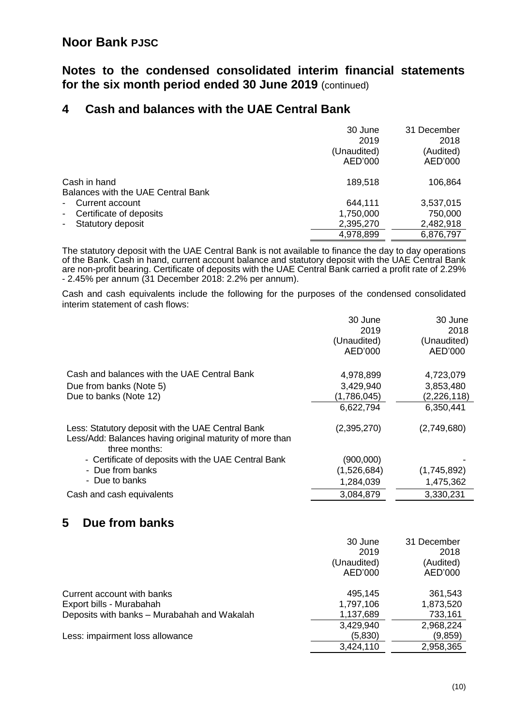#### **Notes to the condensed consolidated interim financial statements for the six month period ended 30 June 2019** (continued)

### **4 Cash and balances with the UAE Central Bank**

|                                           | 30 June     | 31 December |
|-------------------------------------------|-------------|-------------|
|                                           | 2019        | 2018        |
|                                           | (Unaudited) | (Audited)   |
|                                           | AED'000     | AED'000     |
| Cash in hand                              | 189,518     | 106,864     |
| Balances with the UAE Central Bank        |             |             |
| - Current account                         | 644,111     | 3,537,015   |
| Certificate of deposits<br>$\blacksquare$ | 1,750,000   | 750,000     |
| Statutory deposit<br>$\sim 10^{-11}$      | 2,395,270   | 2,482,918   |
|                                           | 4,978,899   | 6,876,797   |
|                                           |             |             |

The statutory deposit with the UAE Central Bank is not available to finance the day to day operations of the Bank. Cash in hand, current account balance and statutory deposit with the UAE Central Bank are non-profit bearing. Certificate of deposits with the UAE Central Bank carried a profit rate of 2.29% - 2.45% per annum (31 December 2018: 2.2% per annum).

Cash and cash equivalents include the following for the purposes of the condensed consolidated interim statement of cash flows:

|                                                                                                                                | 30 June<br>2019<br>(Unaudited)<br>AED'000          | 30 June<br>2018<br>(Unaudited)<br>AED'000            |
|--------------------------------------------------------------------------------------------------------------------------------|----------------------------------------------------|------------------------------------------------------|
| Cash and balances with the UAE Central Bank<br>Due from banks (Note 5)<br>Due to banks (Note 12)                               | 4,978,899<br>3,429,940<br>(1,786,045)<br>6,622,794 | 4,723,079<br>3,853,480<br>(2, 226, 118)<br>6,350,441 |
| Less: Statutory deposit with the UAE Central Bank<br>Less/Add: Balances having original maturity of more than<br>three months: | (2,395,270)                                        | (2,749,680)                                          |
| - Certificate of deposits with the UAE Central Bank<br>- Due from banks                                                        | (900,000)<br>(1,526,684)                           | (1,745,892)                                          |
| - Due to banks<br>Cash and cash equivalents                                                                                    | 1,284,039<br>3,084,879                             | 1,475,362<br>3,330,231                               |

## **5 Due from banks**

|                                             | 30 June     | 31 December |
|---------------------------------------------|-------------|-------------|
|                                             | 2019        | 2018        |
|                                             | (Unaudited) | (Audited)   |
|                                             | AED'000     | AED'000     |
| Current account with banks                  | 495,145     | 361,543     |
| Export bills - Murabahah                    | 1,797,106   | 1,873,520   |
| Deposits with banks - Murabahah and Wakalah | 1,137,689   | 733,161     |
|                                             | 3,429,940   | 2,968,224   |
| Less: impairment loss allowance             | (5,830)     | (9,859)     |
|                                             | 3,424,110   | 2,958,365   |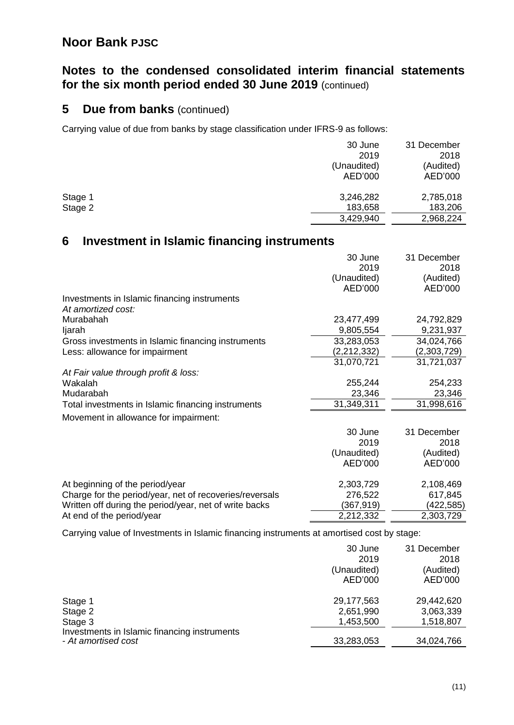### **Notes to the condensed consolidated interim financial statements for the six month period ended 30 June 2019** (continued)

#### **5 Due from banks** (continued)

Carrying value of due from banks by stage classification under IFRS-9 as follows:

|         | 30 June     | 31 December |
|---------|-------------|-------------|
|         | 2019        | 2018        |
|         | (Unaudited) | (Audited)   |
|         | AED'000     | AED'000     |
| Stage 1 | 3,246,282   | 2,785,018   |
| Stage 2 | 183,658     | 183,206     |
|         | 3,429,940   | 2,968,224   |

#### **6 Investment in Islamic financing instruments**

|                                                         | 30 June<br>2019 | 31 December<br>2018 |
|---------------------------------------------------------|-----------------|---------------------|
|                                                         | (Unaudited)     | (Audited)           |
|                                                         | AED'000         | AED'000             |
| Investments in Islamic financing instruments            |                 |                     |
| At amortized cost:                                      |                 |                     |
| Murabahah                                               | 23,477,499      | 24,792,829          |
| ljarah                                                  | 9,805,554       | 9,231,937           |
| Gross investments in Islamic financing instruments      | 33,283,053      | 34,024,766          |
| Less: allowance for impairment                          | (2,212,332)     | (2,303,729)         |
|                                                         | 31,070,721      | 31,721,037          |
| At Fair value through profit & loss:                    |                 |                     |
| Wakalah                                                 | 255,244         | 254,233             |
| Mudarabah                                               | 23,346          | 23,346              |
| Total investments in Islamic financing instruments      | 31,349,311      | 31,998,616          |
| Movement in allowance for impairment:                   |                 |                     |
|                                                         | 30 June         | 31 December         |
|                                                         | 2019            | 2018                |
|                                                         | (Unaudited)     | (Audited)           |
|                                                         | AED'000         | AED'000             |
| At beginning of the period/year                         | 2,303,729       | 2,108,469           |
| Charge for the period/year, net of recoveries/reversals | 276,522         | 617,845             |
| Written off during the period/year, net of write backs  | (367,919)       | (422,585)           |
| At end of the period/year                               | 2,212,332       | 2,303,729           |

Carrying value of Investments in Islamic financing instruments at amortised cost by stage:

|                                                                     | 30 June<br>2019<br>(Unaudited)<br>AED'000 | 31 December<br>2018<br>(Audited)<br>AED'000 |
|---------------------------------------------------------------------|-------------------------------------------|---------------------------------------------|
| Stage 1<br>Stage 2                                                  | 29,177,563<br>2,651,990                   | 29,442,620<br>3,063,339                     |
| Stage 3                                                             | 1,453,500                                 | 1,518,807                                   |
| Investments in Islamic financing instruments<br>- At amortised cost | 33,283,053                                | 34,024,766                                  |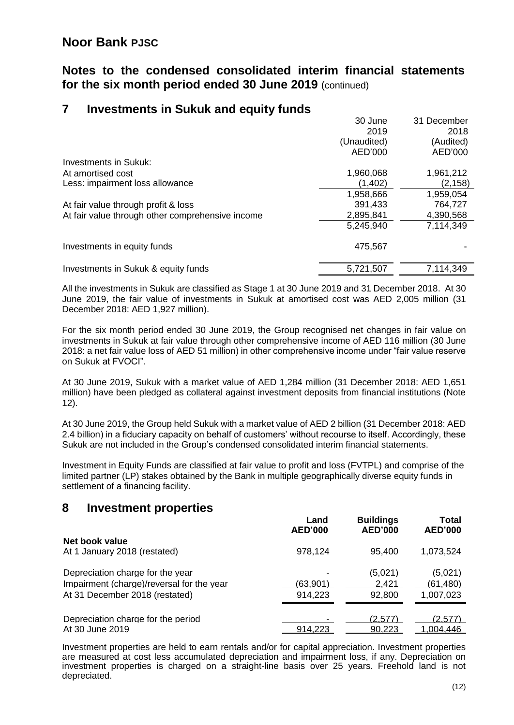#### **Notes to the condensed consolidated interim financial statements for the six month period ended 30 June 2019** (continued)

#### **7 Investments in Sukuk and equity funds**

|                                                  | 30 June     | 31 December |
|--------------------------------------------------|-------------|-------------|
|                                                  | 2019        | 2018        |
|                                                  | (Unaudited) | (Audited)   |
|                                                  | AED'000     | AED'000     |
| <b>Investments in Sukuk:</b>                     |             |             |
| At amortised cost                                | 1,960,068   | 1,961,212   |
| Less: impairment loss allowance                  | (1, 402)    | (2, 158)    |
|                                                  | 1,958,666   | 1,959,054   |
| At fair value through profit & loss              | 391,433     | 764,727     |
| At fair value through other comprehensive income | 2,895,841   | 4,390,568   |
|                                                  | 5,245,940   | 7,114,349   |
| Investments in equity funds                      | 475,567     |             |
| Investments in Sukuk & equity funds              | 5,721,507   | 7,114,349   |

All the investments in Sukuk are classified as Stage 1 at 30 June 2019 and 31 December 2018. At 30 June 2019, the fair value of investments in Sukuk at amortised cost was AED 2,005 million (31 December 2018: AED 1,927 million).

For the six month period ended 30 June 2019, the Group recognised net changes in fair value on investments in Sukuk at fair value through other comprehensive income of AED 116 million (30 June 2018: a net fair value loss of AED 51 million) in other comprehensive income under "fair value reserve on Sukuk at FVOCI".

At 30 June 2019, Sukuk with a market value of AED 1,284 million (31 December 2018: AED 1,651 million) have been pledged as collateral against investment deposits from financial institutions (Note 12).

At 30 June 2019, the Group held Sukuk with a market value of AED 2 billion (31 December 2018: AED 2.4 billion) in a fiduciary capacity on behalf of customers' without recourse to itself. Accordingly, these Sukuk are not included in the Group's condensed consolidated interim financial statements.

Investment in Equity Funds are classified at fair value to profit and loss (FVTPL) and comprise of the limited partner (LP) stakes obtained by the Bank in multiple geographically diverse equity funds in settlement of a financing facility.

#### **8 Investment properties**

|                                           | Land<br><b>AED'000</b> | <b>Buildings</b><br><b>AED'000</b> | Total<br><b>AED'000</b> |
|-------------------------------------------|------------------------|------------------------------------|-------------------------|
| Net book value                            |                        |                                    |                         |
| At 1 January 2018 (restated)              | 978,124                | 95,400                             | 1,073,524               |
| Depreciation charge for the year          |                        | (5,021)                            | (5,021)                 |
| Impairment (charge)/reversal for the year | (63,901)               | 2,421                              | (61,480)                |
| At 31 December 2018 (restated)            | 914,223                | 92,800                             | 1,007,023               |
| Depreciation charge for the period        |                        | (2,577)                            | (2.577)                 |
| At 30 June 2019                           | 914.223                | 90.223                             | .004.446                |

Investment properties are held to earn rentals and/or for capital appreciation. Investment properties are measured at cost less accumulated depreciation and impairment loss, if any. Depreciation on investment properties is charged on a straight-line basis over 25 years. Freehold land is not depreciated.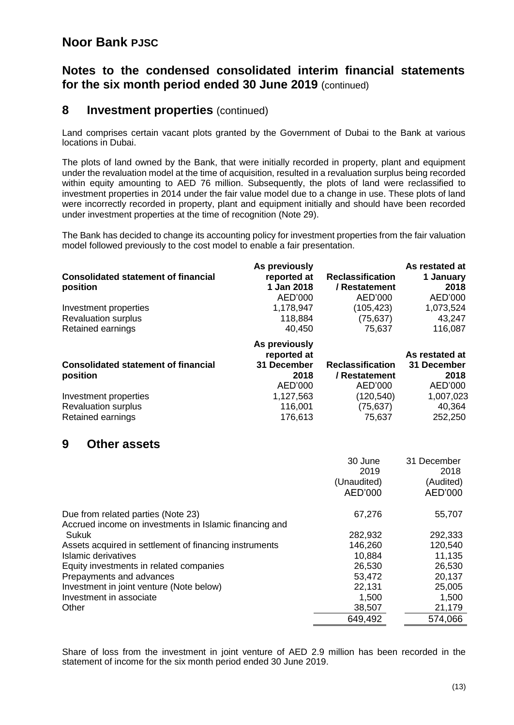#### **Notes to the condensed consolidated interim financial statements for the six month period ended 30 June 2019** (continued)

#### **8 Investment properties** (continued)

Land comprises certain vacant plots granted by the Government of Dubai to the Bank at various locations in Dubai.

The plots of land owned by the Bank, that were initially recorded in property, plant and equipment under the revaluation model at the time of acquisition, resulted in a revaluation surplus being recorded within equity amounting to AED 76 million. Subsequently, the plots of land were reclassified to investment properties in 2014 under the fair value model due to a change in use. These plots of land were incorrectly recorded in property, plant and equipment initially and should have been recorded under investment properties at the time of recognition (Note 29).

The Bank has decided to change its accounting policy for investment properties from the fair valuation model followed previously to the cost model to enable a fair presentation.

|                                            | As previously |                         | As restated at |
|--------------------------------------------|---------------|-------------------------|----------------|
| <b>Consolidated statement of financial</b> | reported at   | <b>Reclassification</b> | 1 January      |
| position                                   | 1 Jan 2018    | / Restatement           | 2018           |
|                                            | AED'000       | AED'000                 | AED'000        |
| Investment properties                      | 1,178,947     | (105, 423)              | 1,073,524      |
| <b>Revaluation surplus</b>                 | 118,884       | (75, 637)               | 43,247         |
| Retained earnings                          | 40,450        | 75,637                  | 116,087        |
|                                            | As previously |                         |                |
|                                            | reported at   |                         | As restated at |
| <b>Consolidated statement of financial</b> | 31 December   | <b>Reclassification</b> | 31 December    |
| position                                   | 2018          | / Restatement           | 2018           |
|                                            | AED'000       | AED'000                 | AED'000        |
| Investment properties                      | 1,127,563     | (120, 540)              | 1,007,023      |
| <b>Revaluation surplus</b>                 | 116,001       | (75, 637)               | 40,364         |
| Retained earnings                          | 176,613       | 75,637                  | 252,250        |
| 9<br><b>Other assets</b>                   |               |                         |                |
|                                            |               |                         |                |
|                                            |               | 30 June                 | 31 December    |
|                                            |               | 2019                    | 2018           |
|                                            |               | (Unaudited)             | (Audited)      |
|                                            |               | AED'000                 | AED'000        |
|                                            |               |                         |                |

| Due from related parties (Note 23)                     | 67,276  | 55,707  |
|--------------------------------------------------------|---------|---------|
| Accrued income on investments in Islamic financing and |         |         |
| Sukuk                                                  | 282,932 | 292,333 |
| Assets acquired in settlement of financing instruments | 146,260 | 120,540 |
| Islamic derivatives                                    | 10,884  | 11,135  |
| Equity investments in related companies                | 26,530  | 26,530  |
| Prepayments and advances                               | 53,472  | 20,137  |
| Investment in joint venture (Note below)               | 22,131  | 25,005  |
| Investment in associate                                | 1.500   | 1,500   |
| Other                                                  | 38,507  | 21,179  |
|                                                        | 649,492 | 574,066 |

Share of loss from the investment in joint venture of AED 2.9 million has been recorded in the statement of income for the six month period ended 30 June 2019.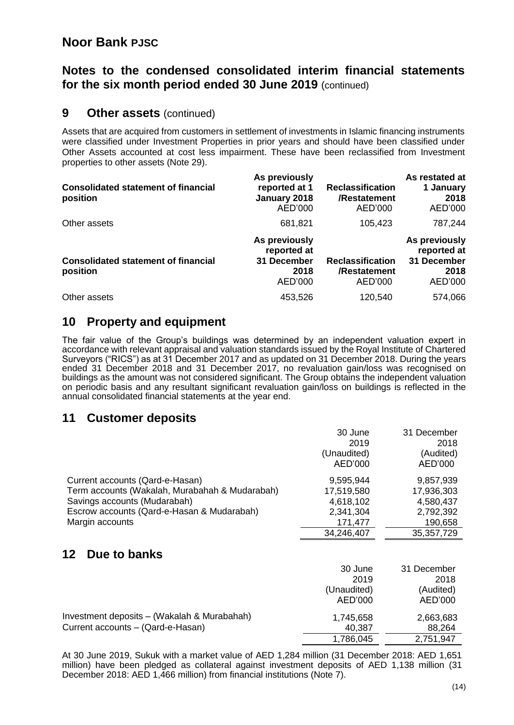#### **Notes to the condensed consolidated interim financial statements for the six month period ended 30 June 2019** (continued)

### **9 Other assets** (continued)

Assets that are acquired from customers in settlement of investments in Islamic financing instruments were classified under Investment Properties in prior years and should have been classified under Other Assets accounted at cost less impairment. These have been reclassified from Investment properties to other assets (Note 29).

| <b>Consolidated statement of financial</b><br>position | As previously<br>reported at 1<br>January 2018<br>AED'000      | <b>Reclassification</b><br>/Restatement<br>AED'000 | As restated at<br>1 January<br>2018<br>AED'000                 |
|--------------------------------------------------------|----------------------------------------------------------------|----------------------------------------------------|----------------------------------------------------------------|
| Other assets                                           | 681,821                                                        | 105,423                                            | 787,244                                                        |
| <b>Consolidated statement of financial</b><br>position | As previously<br>reported at<br>31 December<br>2018<br>AED'000 | <b>Reclassification</b><br>/Restatement<br>AED'000 | As previously<br>reported at<br>31 December<br>2018<br>AED'000 |
| Other assets                                           | 453,526                                                        | 120,540                                            | 574,066                                                        |

#### **10 Property and equipment**

The fair value of the Group's buildings was determined by an independent valuation expert in accordance with relevant appraisal and valuation standards issued by the Royal Institute of Chartered Surveyors ("RICS") as at 31 December 2017 and as updated on 31 December 2018. During the years ended 31 December 2018 and 31 December 2017, no revaluation gain/loss was recognised on buildings as the amount was not considered significant. The Group obtains the independent valuation on periodic basis and any resultant significant revaluation gain/loss on buildings is reflected in the annual consolidated financial statements at the year end.

#### **11 Customer deposits**

|                                                | 30 June<br>2019<br>(Unaudited) | 31 December<br>2018<br>(Audited) |
|------------------------------------------------|--------------------------------|----------------------------------|
|                                                | AED'000                        | AED'000                          |
| Current accounts (Qard-e-Hasan)                | 9,595,944                      | 9,857,939                        |
| Term accounts (Wakalah, Murabahah & Mudarabah) | 17,519,580                     | 17,936,303                       |
| Savings accounts (Mudarabah)                   | 4,618,102                      | 4,580,437                        |
| Escrow accounts (Qard-e-Hasan & Mudarabah)     | 2,341,304                      | 2,792,392                        |
| Margin accounts                                | 171,477                        | 190,658                          |
|                                                | 34,246,407                     | 35, 357, 729                     |
| 12<br>Due to banks                             |                                |                                  |
|                                                | 30 June                        | 31 December                      |
|                                                | 2019                           | 2018                             |
|                                                | (Unaudited)                    | (Audited)                        |
|                                                | AED'000                        | AED'000                          |
| Investment deposits - (Wakalah & Murabahah)    | 1,745,658                      | 2,663,683                        |
| Current accounts - (Qard-e-Hasan)              | 40,387                         | 88,264                           |
|                                                | 1,786,045                      | 2,751,947                        |

At 30 June 2019, Sukuk with a market value of AED 1,284 million (31 December 2018: AED 1,651 million) have been pledged as collateral against investment deposits of AED 1,138 million (31 December 2018: AED 1,466 million) from financial institutions (Note 7).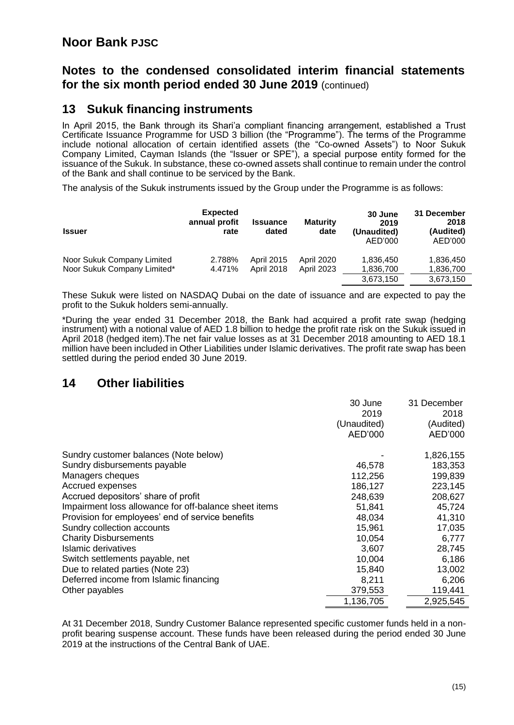#### **Notes to the condensed consolidated interim financial statements for the six month period ended 30 June 2019** (continued)

#### **13 Sukuk financing instruments**

In April 2015, the Bank through its Shari'a compliant financing arrangement, established a Trust Certificate Issuance Programme for USD 3 billion (the "Programme"). The terms of the Programme include notional allocation of certain identified assets (the "Co-owned Assets") to Noor Sukuk Company Limited, Cayman Islands (the "Issuer or SPE"), a special purpose entity formed for the issuance of the Sukuk. In substance, these co-owned assets shall continue to remain under the control of the Bank and shall continue to be serviced by the Bank.

The analysis of the Sukuk instruments issued by the Group under the Programme is as follows:

| <b>Issuer</b>                                             | <b>Expected</b><br>annual profit<br>rate | <b>Issuance</b><br>dated               | <b>Maturity</b><br>date                | 30 June<br>2019<br>(Unaudited)<br>AED'000 | 31 December<br>2018<br>(Audited)<br>AED'000 |
|-----------------------------------------------------------|------------------------------------------|----------------------------------------|----------------------------------------|-------------------------------------------|---------------------------------------------|
| Noor Sukuk Company Limited<br>Noor Sukuk Company Limited* | 2.788%<br>4.471%                         | <b>April 2015</b><br><b>April 2018</b> | <b>April 2020</b><br><b>April 2023</b> | 1,836,450<br>1,836,700                    | 1,836,450<br>1,836,700                      |
|                                                           |                                          |                                        |                                        | 3,673,150                                 | 3,673,150                                   |

These Sukuk were listed on NASDAQ Dubai on the date of issuance and are expected to pay the profit to the Sukuk holders semi-annually.

\*During the year ended 31 December 2018, the Bank had acquired a profit rate swap (hedging instrument) with a notional value of AED 1.8 billion to hedge the profit rate risk on the Sukuk issued in April 2018 (hedged item).The net fair value losses as at 31 December 2018 amounting to AED 18.1 million have been included in Other Liabilities under Islamic derivatives. The profit rate swap has been settled during the period ended 30 June 2019.

#### **14 Other liabilities**

|                                                       | 30 June     | 31 December |
|-------------------------------------------------------|-------------|-------------|
|                                                       | 2019        | 2018        |
|                                                       | (Unaudited) | (Audited)   |
|                                                       | AED'000     | AED'000     |
| Sundry customer balances (Note below)                 |             | 1,826,155   |
| Sundry disbursements payable                          | 46,578      | 183,353     |
| Managers cheques                                      | 112,256     | 199,839     |
| Accrued expenses                                      | 186,127     | 223,145     |
| Accrued depositors' share of profit                   | 248,639     | 208,627     |
| Impairment loss allowance for off-balance sheet items | 51,841      | 45,724      |
| Provision for employees' end of service benefits      | 48,034      | 41,310      |
| Sundry collection accounts                            | 15,961      | 17,035      |
| <b>Charity Disbursements</b>                          | 10,054      | 6,777       |
| Islamic derivatives                                   | 3,607       | 28,745      |
| Switch settlements payable, net                       | 10,004      | 6,186       |
| Due to related parties (Note 23)                      | 15,840      | 13,002      |
| Deferred income from Islamic financing                | 8,211       | 6,206       |
| Other payables                                        | 379,553     | 119,441     |
|                                                       | 1,136,705   | 2,925,545   |

At 31 December 2018, Sundry Customer Balance represented specific customer funds held in a nonprofit bearing suspense account. These funds have been released during the period ended 30 June 2019 at the instructions of the Central Bank of UAE.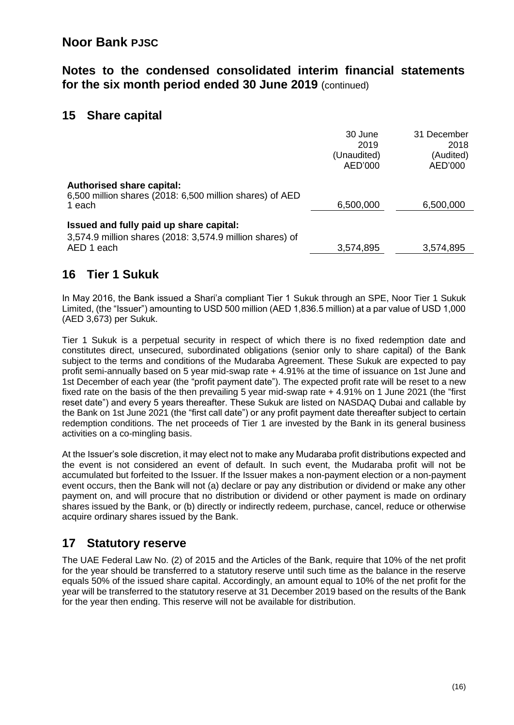#### **Notes to the condensed consolidated interim financial statements for the six month period ended 30 June 2019** (continued)

#### **15 Share capital**

|                                                                                                                   | 30 June<br>2019<br>(Unaudited)<br>AED'000 | 31 December<br>2018<br>(Audited)<br>AED'000 |
|-------------------------------------------------------------------------------------------------------------------|-------------------------------------------|---------------------------------------------|
| <b>Authorised share capital:</b><br>6,500 million shares (2018: 6,500 million shares) of AED<br>1 each            | 6,500,000                                 | 6,500,000                                   |
| Issued and fully paid up share capital:<br>3,574.9 million shares (2018: 3,574.9 million shares) of<br>AED 1 each | 3,574,895                                 | 3,574,895                                   |

### **16 Tier 1 Sukuk**

In May 2016, the Bank issued a Shari'a compliant Tier 1 Sukuk through an SPE, Noor Tier 1 Sukuk Limited, (the "Issuer") amounting to USD 500 million (AED 1,836.5 million) at a par value of USD 1,000 (AED 3,673) per Sukuk.

Tier 1 Sukuk is a perpetual security in respect of which there is no fixed redemption date and constitutes direct, unsecured, subordinated obligations (senior only to share capital) of the Bank subject to the terms and conditions of the Mudaraba Agreement. These Sukuk are expected to pay profit semi-annually based on 5 year mid-swap rate + 4.91% at the time of issuance on 1st June and 1st December of each year (the "profit payment date"). The expected profit rate will be reset to a new fixed rate on the basis of the then prevailing 5 year mid-swap rate + 4.91% on 1 June 2021 (the "first reset date") and every 5 years thereafter. These Sukuk are listed on NASDAQ Dubai and callable by the Bank on 1st June 2021 (the "first call date") or any profit payment date thereafter subject to certain redemption conditions. The net proceeds of Tier 1 are invested by the Bank in its general business activities on a co-mingling basis.

At the Issuer's sole discretion, it may elect not to make any Mudaraba profit distributions expected and the event is not considered an event of default. In such event, the Mudaraba profit will not be accumulated but forfeited to the Issuer. If the Issuer makes a non-payment election or a non-payment event occurs, then the Bank will not (a) declare or pay any distribution or dividend or make any other payment on, and will procure that no distribution or dividend or other payment is made on ordinary shares issued by the Bank, or (b) directly or indirectly redeem, purchase, cancel, reduce or otherwise acquire ordinary shares issued by the Bank.

## **17 Statutory reserve**

The UAE Federal Law No. (2) of 2015 and the Articles of the Bank, require that 10% of the net profit for the year should be transferred to a statutory reserve until such time as the balance in the reserve equals 50% of the issued share capital. Accordingly, an amount equal to 10% of the net profit for the year will be transferred to the statutory reserve at 31 December 2019 based on the results of the Bank for the year then ending. This reserve will not be available for distribution.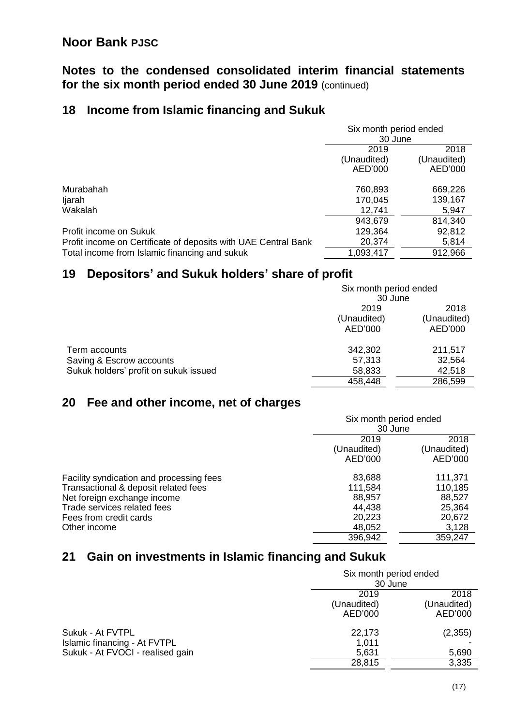#### **Notes to the condensed consolidated interim financial statements for the six month period ended 30 June 2019** (continued)

## **18 Income from Islamic financing and Sukuk**

|                                                                | Six month period ended |             |
|----------------------------------------------------------------|------------------------|-------------|
|                                                                | 30 June                |             |
|                                                                | 2019                   | 2018        |
|                                                                | (Unaudited)            | (Unaudited) |
|                                                                | AED'000                | AED'000     |
| Murabahah                                                      | 760,893                | 669,226     |
| ljarah                                                         | 170,045                | 139,167     |
| Wakalah                                                        | 12,741                 | 5,947       |
|                                                                | 943,679                | 814,340     |
| Profit income on Sukuk                                         | 129,364                | 92,812      |
| Profit income on Certificate of deposits with UAE Central Bank | 20,374                 | 5,814       |
| Total income from Islamic financing and sukuk                  | 1,093,417              | 912,966     |

## **19 Depositors' and Sukuk holders' share of profit**

|                                       | Six month period ended |             |  |
|---------------------------------------|------------------------|-------------|--|
|                                       | 30 June                |             |  |
|                                       | 2019                   | 2018        |  |
|                                       | (Unaudited)            | (Unaudited) |  |
|                                       | AED'000                | AED'000     |  |
| Term accounts                         | 342,302                | 211,517     |  |
| Saving & Escrow accounts              | 57,313                 | 32,564      |  |
| Sukuk holders' profit on sukuk issued | 58,833                 | 42,518      |  |
|                                       | 458,448                | 286,599     |  |

## **20 Fee and other income, net of charges**

|                                          |             | Six month period ended |  |
|------------------------------------------|-------------|------------------------|--|
|                                          | 30 June     |                        |  |
|                                          | 2019        | 2018                   |  |
|                                          | (Unaudited) | (Unaudited)            |  |
|                                          | AED'000     | AED'000                |  |
| Facility syndication and processing fees | 83,688      | 111,371                |  |
| Transactional & deposit related fees     | 111,584     | 110,185                |  |
| Net foreign exchange income              | 88,957      | 88,527                 |  |
| Trade services related fees              | 44,438      | 25,364                 |  |
| Fees from credit cards                   | 20,223      | 20,672                 |  |
| Other income                             | 48,052      | 3,128                  |  |
|                                          | 396,942     | 359,247                |  |

## **21 Gain on investments in Islamic financing and Sukuk**

|                                  |             | Six month period ended |  |
|----------------------------------|-------------|------------------------|--|
|                                  | 30 June     |                        |  |
|                                  | 2019        | 2018                   |  |
|                                  | (Unaudited) | (Unaudited)            |  |
|                                  | AED'000     | AED'000                |  |
| Sukuk - At FVTPL                 | 22,173      | (2,355)                |  |
| Islamic financing - At FVTPL     | 1.011       |                        |  |
| Sukuk - At FVOCI - realised gain | 5,631       | 5,690                  |  |
|                                  | 28,815      | 3,335                  |  |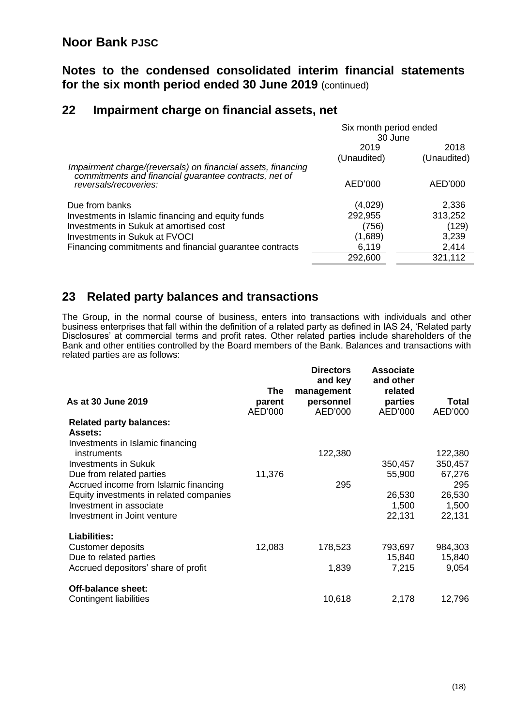**Notes to the condensed consolidated interim financial statements for the six month period ended 30 June 2019** (continued)

## **22 Impairment charge on financial assets, net**

|                                                                                                                       | Six month period ended |             |  |
|-----------------------------------------------------------------------------------------------------------------------|------------------------|-------------|--|
|                                                                                                                       | 30 June                |             |  |
|                                                                                                                       | 2019                   | 2018        |  |
|                                                                                                                       | (Unaudited)            | (Unaudited) |  |
| Impairment charge/(reversals) on financial assets, financing<br>commitments and financial guarantee contracts, net of |                        |             |  |
| reversals/recoveries:                                                                                                 | AED'000                | AED'000     |  |
| Due from banks                                                                                                        | (4,029)                | 2,336       |  |
| Investments in Islamic financing and equity funds                                                                     | 292,955                | 313,252     |  |
| Investments in Sukuk at amortised cost                                                                                | (756)                  | (129)       |  |
| <b>Investments in Sukuk at FVOCI</b>                                                                                  | (1,689)                | 3,239       |  |
| Financing commitments and financial guarantee contracts                                                               | 6,119                  | 2,414       |  |
|                                                                                                                       | 292,600                | 321,112     |  |

### **23 Related party balances and transactions**

The Group, in the normal course of business, enters into transactions with individuals and other business enterprises that fall within the definition of a related party as defined in IAS 24, 'Related party Disclosures' at commercial terms and profit rates. Other related parties include shareholders of the Bank and other entities controlled by the Board members of the Bank. Balances and transactions with related parties are as follows:

| As at 30 June 2019                      | <b>The</b><br>parent<br>AED'000 | <b>Directors</b><br>and key<br>management<br>personnel<br>AED'000 | <b>Associate</b><br>and other<br>related<br>parties<br>AED'000 | <b>Total</b><br>AED'000 |
|-----------------------------------------|---------------------------------|-------------------------------------------------------------------|----------------------------------------------------------------|-------------------------|
| <b>Related party balances:</b>          |                                 |                                                                   |                                                                |                         |
| <b>Assets:</b>                          |                                 |                                                                   |                                                                |                         |
| Investments in Islamic financing        |                                 |                                                                   |                                                                |                         |
| instruments                             |                                 | 122,380                                                           |                                                                | 122,380                 |
| <b>Investments in Sukuk</b>             |                                 |                                                                   | 350,457                                                        | 350,457                 |
| Due from related parties                | 11,376                          |                                                                   | 55,900                                                         | 67,276                  |
| Accrued income from Islamic financing   |                                 | 295                                                               |                                                                | 295                     |
| Equity investments in related companies |                                 |                                                                   | 26,530                                                         | 26,530                  |
| Investment in associate                 |                                 |                                                                   | 1,500                                                          | 1,500                   |
| Investment in Joint venture             |                                 |                                                                   | 22,131                                                         | 22,131                  |
| <b>Liabilities:</b>                     |                                 |                                                                   |                                                                |                         |
| Customer deposits                       | 12,083                          | 178,523                                                           | 793,697                                                        | 984,303                 |
| Due to related parties                  |                                 |                                                                   | 15,840                                                         | 15,840                  |
| Accrued depositors' share of profit     |                                 | 1,839                                                             | 7,215                                                          | 9,054                   |
| <b>Off-balance sheet:</b>               |                                 |                                                                   |                                                                |                         |
| Contingent liabilities                  |                                 | 10,618                                                            | 2,178                                                          | 12,796                  |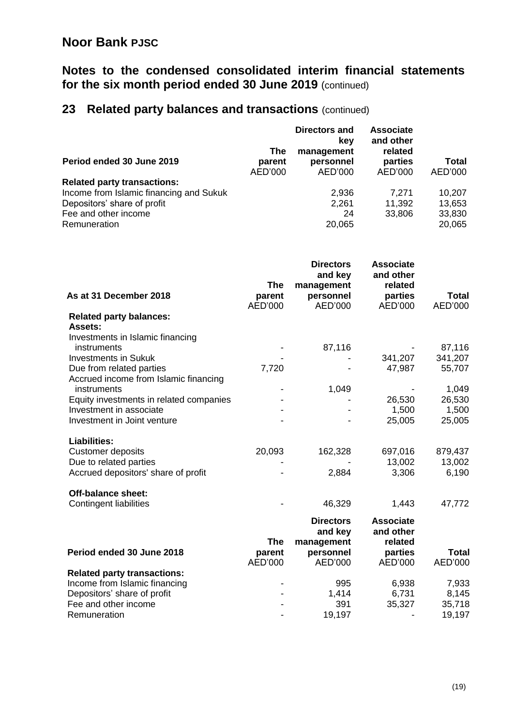## **Notes to the condensed consolidated interim financial statements for the six month period ended 30 June 2019** (continued)

# **23 Related party balances and transactions** (continued)

| Period ended 30 June 2019                                                                                                                                                                                                                                                                 | <b>The</b><br>parent<br>AED'000 | Directors and<br>key<br>management<br>personnel<br>AED'000        | <b>Associate</b><br>and other<br>related<br>parties<br>AED'000 | <b>Total</b><br>AED'000                                           |
|-------------------------------------------------------------------------------------------------------------------------------------------------------------------------------------------------------------------------------------------------------------------------------------------|---------------------------------|-------------------------------------------------------------------|----------------------------------------------------------------|-------------------------------------------------------------------|
| <b>Related party transactions:</b><br>Income from Islamic financing and Sukuk<br>Depositors' share of profit<br>Fee and other income<br>Remuneration                                                                                                                                      |                                 | 2,936<br>2,261<br>24<br>20,065                                    | 7,271<br>11,392<br>33,806                                      | 10,207<br>13,653<br>33,830<br>20,065                              |
| As at 31 December 2018<br><b>Related party balances:</b>                                                                                                                                                                                                                                  | <b>The</b><br>parent<br>AED'000 | <b>Directors</b><br>and key<br>management<br>personnel<br>AED'000 | <b>Associate</b><br>and other<br>related<br>parties<br>AED'000 | <b>Total</b><br>AED'000                                           |
| <b>Assets:</b><br>Investments in Islamic financing<br>instruments<br><b>Investments in Sukuk</b><br>Due from related parties<br>Accrued income from Islamic financing<br>instruments<br>Equity investments in related companies<br>Investment in associate<br>Investment in Joint venture | 7,720                           | 87,116<br>1,049                                                   | 341,207<br>47,987<br>26,530<br>1,500<br>25,005                 | 87,116<br>341,207<br>55,707<br>1,049<br>26,530<br>1,500<br>25,005 |
| <b>Liabilities:</b><br><b>Customer deposits</b><br>Due to related parties<br>Accrued depositors' share of profit                                                                                                                                                                          | 20,093                          | 162,328<br>2,884                                                  | 697,016<br>13,002<br>3,306                                     | 879,437<br>13,002<br>6,190                                        |
| Off-balance sheet:<br>Contingent liabilities                                                                                                                                                                                                                                              | <b>The</b>                      | 46,329<br><b>Directors</b><br>and key<br>management               | 1,443<br><b>Associate</b><br>and other<br>related              | 47,772                                                            |
| Period ended 30 June 2018                                                                                                                                                                                                                                                                 | parent<br>AED'000               | personnel<br>AED'000                                              | parties<br>AED'000                                             | <b>Total</b><br>AED'000                                           |
| <b>Related party transactions:</b><br>Income from Islamic financing<br>Depositors' share of profit<br>Fee and other income                                                                                                                                                                |                                 | 995<br>1,414<br>391                                               | 6,938<br>6,731<br>35,327                                       | 7,933<br>8,145<br>35,718                                          |

Remuneration - 19,197 - 19,197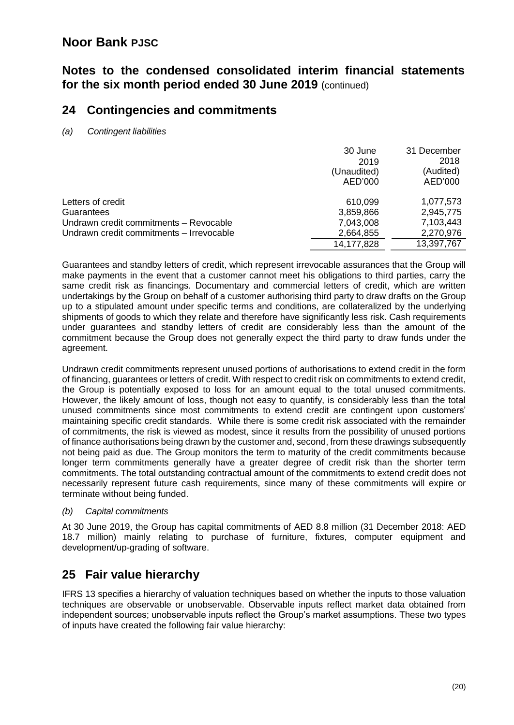#### **Notes to the condensed consolidated interim financial statements for the six month period ended 30 June 2019** (continued)

#### **24 Contingencies and commitments**

*(a) Contingent liabilities*

|                                          | 30 June     | 31 December |
|------------------------------------------|-------------|-------------|
|                                          | 2019        | 2018        |
|                                          | (Unaudited) | (Audited)   |
|                                          | AED'000     | AED'000     |
| Letters of credit                        | 610,099     | 1,077,573   |
| Guarantees                               | 3,859,866   | 2,945,775   |
| Undrawn credit commitments - Revocable   | 7,043,008   | 7,103,443   |
| Undrawn credit commitments - Irrevocable | 2,664,855   | 2,270,976   |
|                                          | 14,177,828  | 13,397,767  |

Guarantees and standby letters of credit, which represent irrevocable assurances that the Group will make payments in the event that a customer cannot meet his obligations to third parties, carry the same credit risk as financings. Documentary and commercial letters of credit, which are written undertakings by the Group on behalf of a customer authorising third party to draw drafts on the Group up to a stipulated amount under specific terms and conditions, are collateralized by the underlying shipments of goods to which they relate and therefore have significantly less risk. Cash requirements under guarantees and standby letters of credit are considerably less than the amount of the commitment because the Group does not generally expect the third party to draw funds under the agreement.

Undrawn credit commitments represent unused portions of authorisations to extend credit in the form of financing, guarantees or letters of credit. With respect to credit risk on commitments to extend credit, the Group is potentially exposed to loss for an amount equal to the total unused commitments. However, the likely amount of loss, though not easy to quantify, is considerably less than the total unused commitments since most commitments to extend credit are contingent upon customers' maintaining specific credit standards. While there is some credit risk associated with the remainder of commitments, the risk is viewed as modest, since it results from the possibility of unused portions of finance authorisations being drawn by the customer and, second, from these drawings subsequently not being paid as due. The Group monitors the term to maturity of the credit commitments because longer term commitments generally have a greater degree of credit risk than the shorter term commitments. The total outstanding contractual amount of the commitments to extend credit does not necessarily represent future cash requirements, since many of these commitments will expire or terminate without being funded.

*(b) Capital commitments*

At 30 June 2019, the Group has capital commitments of AED 8.8 million (31 December 2018: AED 18.7 million) mainly relating to purchase of furniture, fixtures, computer equipment and development/up-grading of software.

## **25 Fair value hierarchy**

IFRS 13 specifies a hierarchy of valuation techniques based on whether the inputs to those valuation techniques are observable or unobservable. Observable inputs reflect market data obtained from independent sources; unobservable inputs reflect the Group's market assumptions. These two types of inputs have created the following fair value hierarchy: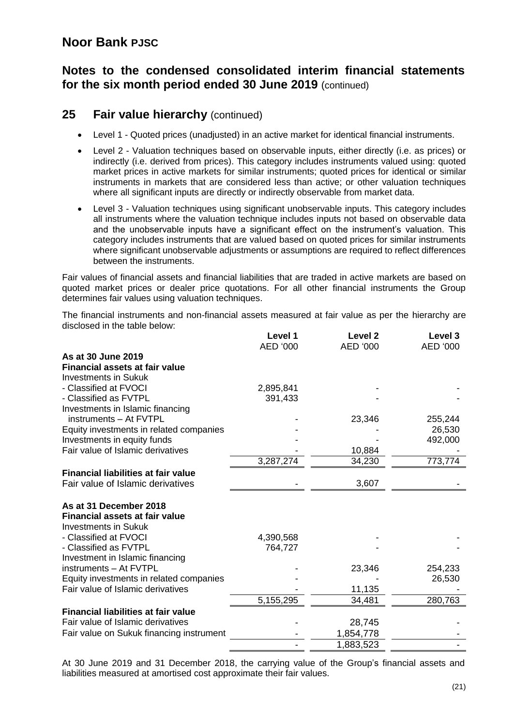#### **Notes to the condensed consolidated interim financial statements for the six month period ended 30 June 2019** (continued)

#### **25 Fair value hierarchy** (continued)

- Level 1 Quoted prices (unadjusted) in an active market for identical financial instruments.
- Level 2 Valuation techniques based on observable inputs, either directly (i.e. as prices) or indirectly (i.e. derived from prices). This category includes instruments valued using: quoted market prices in active markets for similar instruments; quoted prices for identical or similar instruments in markets that are considered less than active; or other valuation techniques where all significant inputs are directly or indirectly observable from market data.
- Level 3 Valuation techniques using significant unobservable inputs. This category includes all instruments where the valuation technique includes inputs not based on observable data and the unobservable inputs have a significant effect on the instrument's valuation. This category includes instruments that are valued based on quoted prices for similar instruments where significant unobservable adjustments or assumptions are required to reflect differences between the instruments.

Fair values of financial assets and financial liabilities that are traded in active markets are based on quoted market prices or dealer price quotations. For all other financial instruments the Group determines fair values using valuation techniques.

The financial instruments and non-financial assets measured at fair value as per the hierarchy are disclosed in the table below:

|                                            | Level 1   | Level <sub>2</sub> | Level 3  |
|--------------------------------------------|-----------|--------------------|----------|
|                                            | AED '000  | AED '000           | AED '000 |
| As at 30 June 2019                         |           |                    |          |
| Financial assets at fair value             |           |                    |          |
| <b>Investments in Sukuk</b>                |           |                    |          |
| - Classified at FVOCI                      | 2,895,841 |                    |          |
| - Classified as FVTPL                      | 391,433   |                    |          |
| Investments in Islamic financing           |           |                    |          |
| instruments - At FVTPL                     |           | 23,346             | 255,244  |
| Equity investments in related companies    |           |                    | 26,530   |
| Investments in equity funds                |           |                    | 492,000  |
| Fair value of Islamic derivatives          |           | 10,884             |          |
|                                            | 3,287,274 | 34,230             | 773,774  |
| <b>Financial liabilities at fair value</b> |           |                    |          |
| Fair value of Islamic derivatives          |           | 3,607              |          |
| As at 31 December 2018                     |           |                    |          |
| <b>Financial assets at fair value</b>      |           |                    |          |
| <b>Investments in Sukuk</b>                |           |                    |          |
| - Classified at FVOCI                      | 4,390,568 |                    |          |
| - Classified as FVTPL                      | 764,727   |                    |          |
| Investment in Islamic financing            |           |                    |          |
| instruments - At FVTPL                     |           | 23,346             | 254,233  |
| Equity investments in related companies    |           |                    | 26,530   |
| Fair value of Islamic derivatives          |           | 11,135             |          |
|                                            | 5,155,295 | 34,481             | 280,763  |
| <b>Financial liabilities at fair value</b> |           |                    |          |
| Fair value of Islamic derivatives          |           | 28,745             |          |
| Fair value on Sukuk financing instrument   |           | 1,854,778          |          |
|                                            |           | 1,883,523          |          |

At 30 June 2019 and 31 December 2018, the carrying value of the Group's financial assets and liabilities measured at amortised cost approximate their fair values.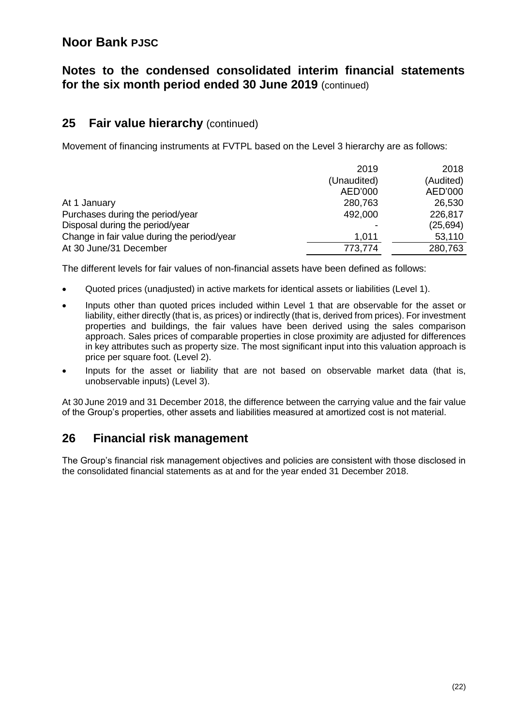#### **Notes to the condensed consolidated interim financial statements for the six month period ended 30 June 2019** (continued)

#### **25 Fair value hierarchy** (continued)

Movement of financing instruments at FVTPL based on the Level 3 hierarchy are as follows:

|                                             | 2019        | 2018      |
|---------------------------------------------|-------------|-----------|
|                                             | (Unaudited) | (Audited) |
|                                             | AED'000     | AED'000   |
| At 1 January                                | 280,763     | 26,530    |
| Purchases during the period/year            | 492,000     | 226,817   |
| Disposal during the period/year             |             | (25, 694) |
| Change in fair value during the period/year | 1.011       | 53,110    |
| At 30 June/31 December                      | 773,774     | 280,763   |

The different levels for fair values of non-financial assets have been defined as follows:

- Quoted prices (unadjusted) in active markets for identical assets or liabilities (Level 1).
- Inputs other than quoted prices included within Level 1 that are observable for the asset or liability, either directly (that is, as prices) or indirectly (that is, derived from prices). For investment properties and buildings, the fair values have been derived using the sales comparison approach. Sales prices of comparable properties in close proximity are adjusted for differences in key attributes such as property size. The most significant input into this valuation approach is price per square foot. (Level 2).
- Inputs for the asset or liability that are not based on observable market data (that is, unobservable inputs) (Level 3).

At 30 June 2019 and 31 December 2018, the difference between the carrying value and the fair value of the Group's properties, other assets and liabilities measured at amortized cost is not material.

#### **26 Financial risk management**

The Group's financial risk management objectives and policies are consistent with those disclosed in the consolidated financial statements as at and for the year ended 31 December 2018.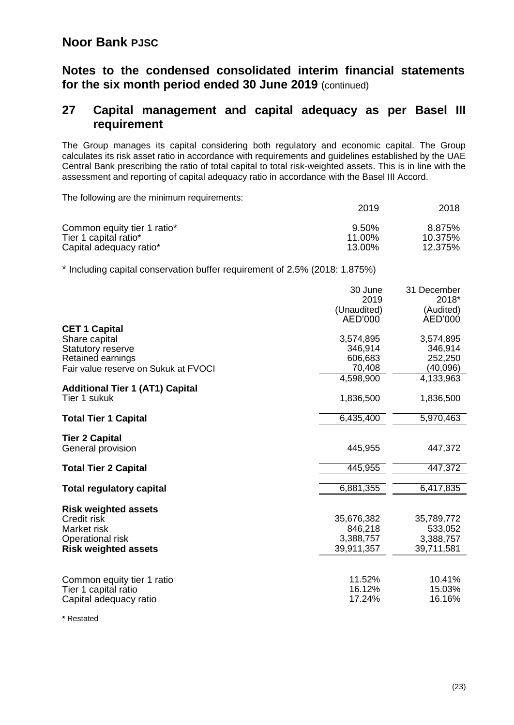**Notes to the condensed consolidated interim financial statements for the six month period ended 30 June 2019** (continued)

#### **27 Capital management and capital adequacy as per Basel III requirement**

The Group manages its capital considering both regulatory and economic capital. The Group calculates its risk asset ratio in accordance with requirements and guidelines established by the UAE Central Bank prescribing the ratio of total capital to total risk-weighted assets. This is in line with the assessment and reporting of capital adequacy ratio in accordance with the Basel III Accord.

The following are the minimum requirements:

|                             | 2019     | 2018    |
|-----------------------------|----------|---------|
| Common equity tier 1 ratio* | $9.50\%$ | 8.875%  |
| Tier 1 capital ratio*       | 11.00%   | 10.375% |
| Capital adequacy ratio*     | 13.00%   | 12.375% |

\* Including capital conservation buffer requirement of 2.5% (2018: 1.875%)

|                                        | 30 June             | 31 December        |
|----------------------------------------|---------------------|--------------------|
|                                        | 2019<br>(Unaudited) | 2018*<br>(Audited) |
|                                        | AED'000             | AED'000            |
| <b>CET 1 Capital</b>                   |                     |                    |
| Share capital                          | 3,574,895           | 3,574,895          |
| <b>Statutory reserve</b>               | 346,914             | 346,914            |
| Retained earnings                      | 606,683             | 252,250            |
| Fair value reserve on Sukuk at FVOCI   | 70,408              | (40,096)           |
|                                        | 4,598,900           | 4,133,963          |
| <b>Additional Tier 1 (AT1) Capital</b> |                     |                    |
| Tier 1 sukuk                           | 1,836,500           | 1,836,500          |
| <b>Total Tier 1 Capital</b>            | 6,435,400           | 5,970,463          |
|                                        |                     |                    |
| <b>Tier 2 Capital</b>                  |                     |                    |
| General provision                      | 445,955             | 447,372            |
|                                        |                     |                    |
| <b>Total Tier 2 Capital</b>            | 445,955             | 447,372            |
| <b>Total regulatory capital</b>        | 6,881,355           | 6,417,835          |
|                                        |                     |                    |
| <b>Risk weighted assets</b>            |                     |                    |
| Credit risk                            | 35,676,382          | 35,789,772         |
| Market risk                            | 846,218             | 533,052            |
| Operational risk                       | 3,388,757           | 3,388,757          |
| <b>Risk weighted assets</b>            | 39,911,357          | 39,711,581         |
|                                        |                     |                    |
| Common equity tier 1 ratio             | 11.52%              | 10.41%             |
| Tier 1 capital ratio                   | 16.12%              | 15.03%             |
| Capital adequacy ratio                 | 17.24%              | 16.16%             |
|                                        |                     |                    |

**\*** Restated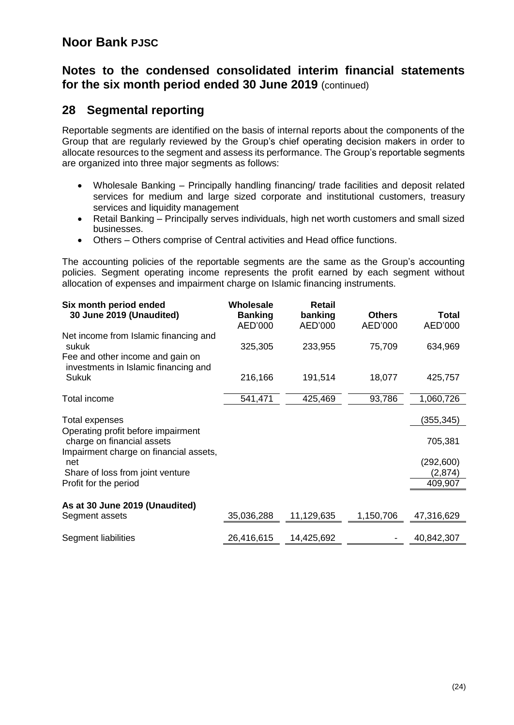#### **Notes to the condensed consolidated interim financial statements for the six month period ended 30 June 2019** (continued)

### **28 Segmental reporting**

Reportable segments are identified on the basis of internal reports about the components of the Group that are regularly reviewed by the Group's chief operating decision makers in order to allocate resources to the segment and assess its performance. The Group's reportable segments are organized into three major segments as follows:

- Wholesale Banking Principally handling financing/ trade facilities and deposit related services for medium and large sized corporate and institutional customers, treasury services and liquidity management
- Retail Banking Principally serves individuals, high net worth customers and small sized businesses.
- Others Others comprise of Central activities and Head office functions.

The accounting policies of the reportable segments are the same as the Group's accounting policies. Segment operating income represents the profit earned by each segment without allocation of expenses and impairment charge on Islamic financing instruments.

| Six month period ended<br>30 June 2019 (Unaudited)                                 | Wholesale<br><b>Banking</b><br>AED'000 | <b>Retail</b><br>banking<br>AED'000 | <b>Others</b><br>AED'000 | Total<br>AED'000      |
|------------------------------------------------------------------------------------|----------------------------------------|-------------------------------------|--------------------------|-----------------------|
| Net income from Islamic financing and<br>sukuk<br>Fee and other income and gain on | 325,305                                | 233,955                             | 75,709                   | 634,969               |
| investments in Islamic financing and<br>Sukuk                                      | 216,166                                | 191,514                             | 18,077                   | 425,757               |
| Total income                                                                       | 541,471                                | 425,469                             | 93,786                   | 1,060,726             |
| Total expenses<br>Operating profit before impairment<br>charge on financial assets |                                        |                                     |                          | (355, 345)<br>705,381 |
| Impairment charge on financial assets,<br>net<br>Share of loss from joint venture  |                                        |                                     |                          | (292, 600)<br>(2,874) |
| Profit for the period                                                              |                                        |                                     |                          | 409,907               |
| As at 30 June 2019 (Unaudited)<br>Segment assets                                   | 35,036,288                             | 11,129,635                          | 1,150,706                | 47,316,629            |
| Segment liabilities                                                                | 26,416,615                             | 14,425,692                          |                          | 40,842,307            |